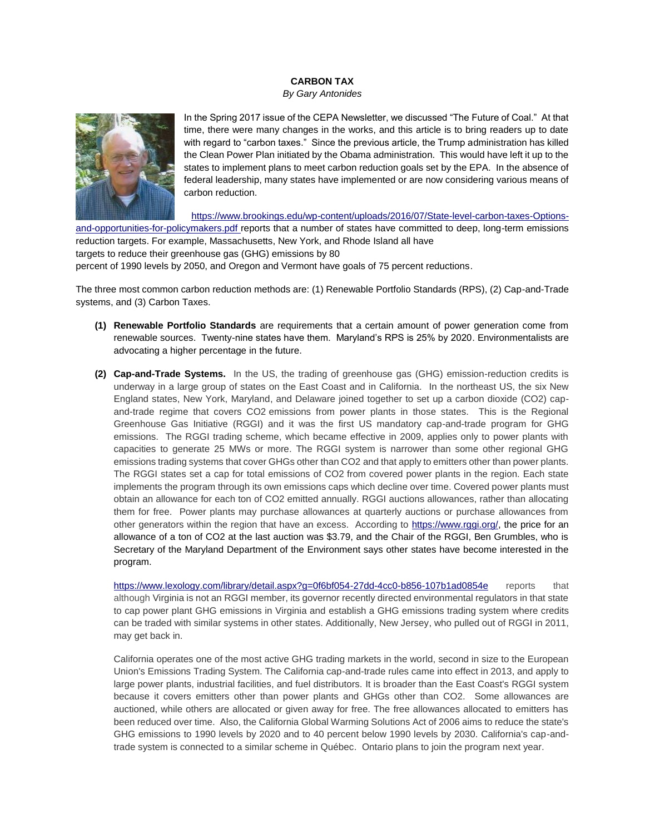## **CARBON TAX**

*By Gary Antonides*



In the Spring 2017 issue of the CEPA Newsletter, we discussed "The Future of Coal." At that time, there were many changes in the works, and this article is to bring readers up to date with regard to "carbon taxes." Since the previous article, the Trump administration has killed the Clean Power Plan initiated by the Obama administration. This would have left it up to the states to implement plans to meet carbon reduction goals set by the EPA. In the absence of federal leadership, many states have implemented or are now considering various means of carbon reduction.

[https://www.brookings.edu/wp-content/uploads/2016/07/State-level-carbon-taxes-Options](https://www.brookings.edu/wp-content/uploads/2016/07/State-level-carbon-taxes-Options-and-opportunities-for-policymakers.pdf)[and-opportunities-for-policymakers.pdf](https://www.brookings.edu/wp-content/uploads/2016/07/State-level-carbon-taxes-Options-and-opportunities-for-policymakers.pdf) reports that a number of states have committed to deep, long-term emissions reduction targets. For example, Massachusetts, New York, and Rhode Island all have

targets to reduce their greenhouse gas (GHG) emissions by 80

percent of 1990 levels by 2050, and Oregon and Vermont have goals of 75 percent reductions.

The three most common carbon reduction methods are: (1) Renewable Portfolio Standards (RPS), (2) Cap-and-Trade systems, and (3) Carbon Taxes.

- **(1) Renewable Portfolio Standards** are requirements that a certain amount of power generation come from renewable sources. Twenty-nine states have them. Maryland's RPS is 25% by 2020. Environmentalists are advocating a higher percentage in the future.
- **(2) Cap-and-Trade Systems.** In the US, the trading of greenhouse gas (GHG) emission-reduction credits is underway in a large group of states on the East Coast and in California. In the northeast US, the six New England states, New York, Maryland, and Delaware joined together to set up a carbon dioxide (CO2) capand-trade regime that covers CO2 emissions from power plants in those states. This is the Regional Greenhouse Gas Initiative (RGGI) and it was the first US mandatory cap-and-trade program for GHG emissions. The RGGI trading scheme, which became effective in 2009, applies only to power plants with capacities to generate 25 MWs or more. The RGGI system is narrower than some other regional GHG emissions trading systems that cover GHGs other than CO2 and that apply to emitters other than power plants. The RGGI states set a cap for total emissions of CO2 from covered power plants in the region. Each state implements the program through its own emissions caps which decline over time. Covered power plants must obtain an allowance for each ton of CO2 emitted annually. RGGI auctions allowances, rather than allocating them for free. Power plants may purchase allowances at quarterly auctions or purchase allowances from other generators within the region that have an excess. According to [https://www.rggi.org/,](https://www.rggi.org/) the price for an allowance of a ton of CO2 at the last auction was \$3.79, and the Chair of the RGGI, Ben Grumbles, who is Secretary of the Maryland Department of the Environment says other states have become interested in the program.

<https://www.lexology.com/library/detail.aspx?g=0f6bf054-27dd-4cc0-b856-107b1ad0854e> reports that although Virginia is not an RGGI member, its governor recently directed environmental regulators in that state to cap power plant GHG emissions in Virginia and establish a GHG emissions trading system where credits can be traded with similar systems in other states. Additionally, New Jersey, who pulled out of RGGI in 2011, may get back in.

California operates one of the most active GHG trading markets in the world, second in size to the European Union's Emissions Trading System. The California cap-and-trade rules came into effect in 2013, and apply to large power plants, industrial facilities, and fuel distributors. It is broader than the East Coast's RGGI system because it covers emitters other than power plants and GHGs other than CO2. Some allowances are auctioned, while others are allocated or given away for free. The free allowances allocated to emitters has been reduced over time. Also, the California Global Warming Solutions Act of 2006 aims to reduce the state's GHG emissions to 1990 levels by 2020 and to 40 percent below 1990 levels by 2030. California's cap-andtrade system is connected to a similar scheme in Québec. Ontario plans to join the program next year.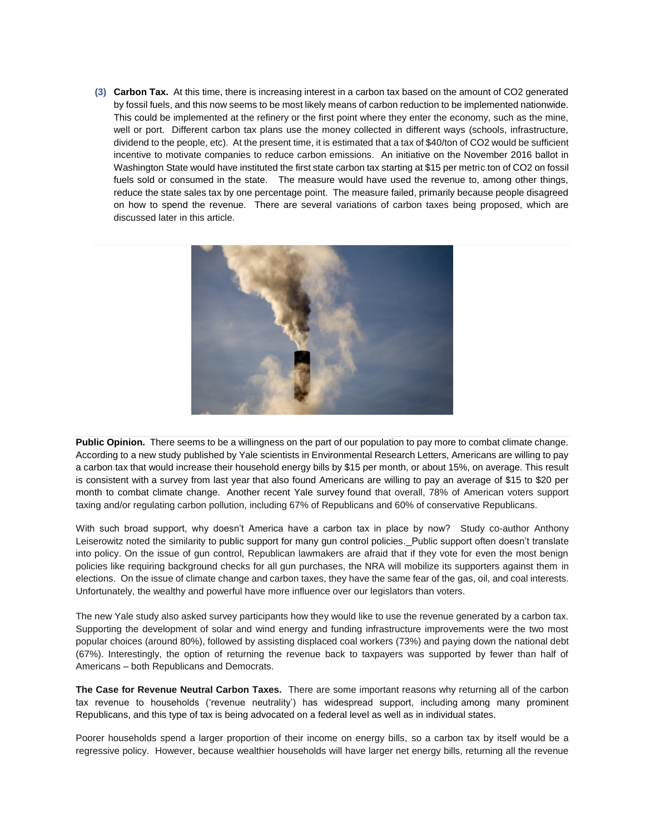**(3) Carbon Tax.** At this time, there is increasing interest in a carbon tax based on the amount of CO2 generated by fossil fuels, and this now seems to be most likely means of carbon reduction to be implemented nationwide. This could be implemented at the refinery or the first point where they enter the economy, such as the mine, well or port. Different carbon tax plans use the money collected in different ways (schools, infrastructure, dividend to the people, etc). At the present time, it is estimated that a tax of \$40/ton of CO2 would be sufficient incentive to motivate companies to reduce carbon emissions. An initiative on the November 2016 ballot in Washington State would have instituted the first state carbon tax starting at \$15 per metric ton of CO2 on fossil fuels sold or consumed in the state. The measure would have used the revenue to, among other things, reduce the state sales tax by one percentage point. The measure failed, primarily because people disagreed on how to spend the revenue. There are several variations of carbon taxes being proposed, which are discussed later in this article.



**Public Opinion.** There seems to be a willingness on the part of our population to pay more to combat climate change. According to [a new study](http://iopscience.iop.org/article/10.1088/1748-9326/aa822a/pdf) published by Yale scientists in Environmental Research Letters, Americans are willing to pay a carbon tax that would increase their household energy bills by \$15 per month, or about 15%, on average. This result is consistent with [a survey from last year](https://www.nytimes.com/2016/09/15/upshot/americans-appear-willing-to-pay-for-a-carbon-tax-policy.html?_r=1&mc_cid=3933d8f563&mc_eid=acd6b24698) that also found Americans are willing to pay an average of \$15 to \$20 per month to combat climate change. [Another recent Yale survey](http://climatecommunication.yale.edu/publications/politics-global-warming-november-2016/7/) found that overall, 78% of American voters support taxing and/or regulating carbon pollution, including 67% of Republicans and 60% of conservative Republicans.

With such broad support, why doesn't America have a carbon tax in place by now? Study co-author Anthony Leiserowitz noted the similarity to [public support for many gun control policies.](http://www.pewresearch.org/fact-tank/2017/06/23/bipartisan-support-for-some-gun-proposals-stark-partisan-divisions-on-many-others/) Public support often doesn't translate into policy. On the issue of gun control, Republican lawmakers are afraid that if they vote for even the most benign policies like requiring background checks for all gun purchases, the NRA will mobilize its supporters against them in elections. On the issue of climate change and carbon taxes, they have the same fear of the gas, oil, and coal interests. Unfortunately, the wealthy and powerful have more influence over our legislators than voters.

The new Yale study also asked survey participants how they would like to use the revenue generated by a carbon tax. Supporting the development of solar and wind energy and funding infrastructure improvements were the two most popular choices (around 80%), followed by assisting displaced coal workers (73%) and paying down the national debt (67%). Interestingly, the option of returning the revenue back to taxpayers was supported by fewer than half of Americans – both Republicans and Democrats.

**The Case for Revenue Neutral Carbon Taxes.** There are some important reasons why returning all of the carbon tax revenue to households ('revenue neutrality') has widespread support, including [among many prominent](https://www.theguardian.com/environment/climate-consensus-97-per-cent/2017/jun/23/exxon-stephen-hawking-greens-and-reagans-advisors-agree-on-a-carbon-tax)  [Republicans,](https://www.theguardian.com/environment/climate-consensus-97-per-cent/2017/jun/23/exxon-stephen-hawking-greens-and-reagans-advisors-agree-on-a-carbon-tax) and this type of tax is being advocated on a federal level as well as in individual states.

Poorer households spend a larger proportion of their income on energy bills, so a carbon tax by itself would be a regressive policy. However, because wealthier households will have larger net energy bills, returning all the revenue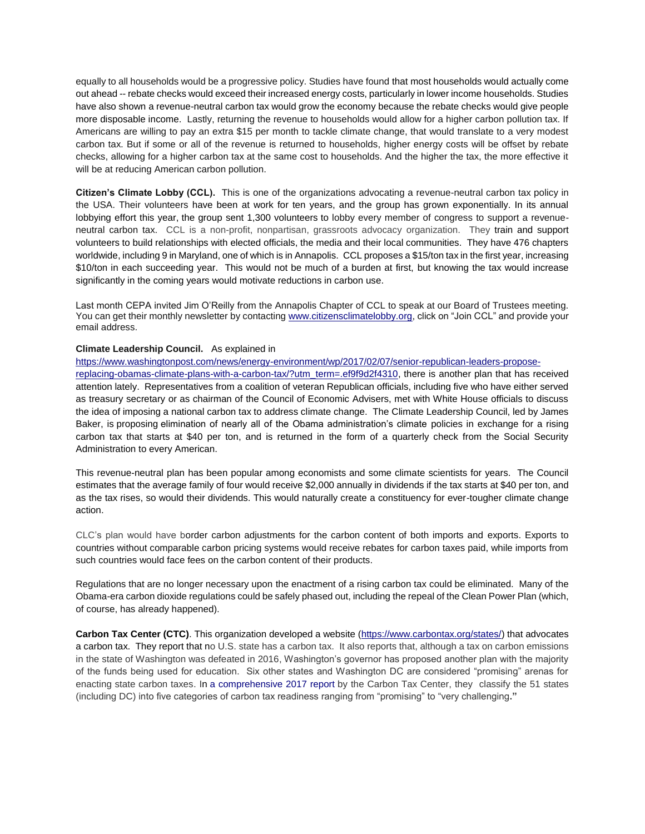equally to all households would be a progressive policy. Studies have found that [most households would actually come](https://citizensclimatelobby.org/household-impact-study/)  [out ahead](https://citizensclimatelobby.org/household-impact-study/) -- rebate checks would exceed their increased energy costs, particularly in lower income households. Studies have also shown [a revenue-neutral carbon tax would grow the economy](https://www.theguardian.com/environment/climate-consensus-97-per-cent/2014/jun/13/how-revenue-neutral-carbon-tax-creates-jobs-grows-economy) because the rebate checks would give people more disposable income. Lastly, returning the revenue to households would allow for a higher carbon pollution tax. If Americans are willing to pay an extra \$15 per month to tackle climate change, that would translate to a very modest carbon tax. But if some or all of the revenue is returned to households, higher energy costs will be offset by rebate checks, allowing for a higher carbon tax at the same cost to households. And the higher the tax, the more effective it will be at reducing American carbon pollution.

**Citizen's Climate Lobby (CCL).** This is one of the organizations advocating a revenue-neutral carbon tax policy in the USA. Their volunteers have been at work for ten years, and the group has grown exponentially. In its annual lobbying effort this year, [the group sent 1,300 volunteers](https://citizensclimatelobby.org/first-time-2017-conference-part-1/) to lobby every member of congress to support a revenueneutral carbon tax. CCL is a non-profit, nonpartisan, grassroots advocacy organization. They train and support volunteers to build relationships with elected officials, the media and their local communities. They have 476 chapters worldwide, including 9 in Maryland, one of which is in Annapolis. CCL proposes a \$15/ton tax in the first year, increasing \$10/ton in each succeeding year. This would not be much of a burden at first, but knowing the tax would increase significantly in the coming years would motivate reductions in carbon use.

Last month CEPA invited Jim O'Reilly from the Annapolis Chapter of CCL to speak at our Board of Trustees meeting. You can get their monthly newsletter by contacting [www.citizensclimatelobby.org,](http://www.citizensclimatelobby.org/) click on "Join CCL" and provide your email address.

## **Climate Leadership Council.** As explained in

[https://www.washingtonpost.com/news/energy-environment/wp/2017/02/07/senior-republican-leaders-propose-](https://www.washingtonpost.com/news/energy-environment/wp/2017/02/07/senior-republican-leaders-propose-replacing-obamas-climate-plans-with-a-carbon-tax/?utm_term=.ef9f9d2f4310)

[replacing-obamas-climate-plans-with-a-carbon-tax/?utm\\_term=.ef9f9d2f4310,](https://www.washingtonpost.com/news/energy-environment/wp/2017/02/07/senior-republican-leaders-propose-replacing-obamas-climate-plans-with-a-carbon-tax/?utm_term=.ef9f9d2f4310) there is another plan that has received attention lately. Representatives from a coalition of veteran Republican officials, including five who have either served as treasury secretary or as chairman of the Council of Economic Advisers, met with White House officials to discuss the idea of imposing a national carbon tax to address climate change. The Climate Leadership Council, led by James Baker, is [proposing](https://www.clcouncil.org/wp-content/uploads/2017/02/TheConservativeCaseforCarbonDividends.pdf) elimination of nearly all of the Obama administration's climate policies in exchange for a rising carbon tax that starts at \$40 per ton, and is returned in the form of a quarterly check from the Social Security Administration to every American.

This revenue-neutral plan has been popular among economists and some climate scientists for years. The Council estimates that the average family of four would receive \$2,000 annually in dividends if the tax starts at \$40 per ton, and as the tax rises, so would their dividends. This would naturally create a constituency for ever-tougher climate change action.

CLC's plan would have border carbon adjustments for the carbon content of both imports and exports. Exports to countries without comparable carbon pricing systems would receive rebates for carbon taxes paid, while imports from such countries would face fees on the carbon content of their products.

Regulations that are no longer necessary upon the enactment of a rising carbon tax could be eliminated. Many of the Obama-era carbon dioxide regulations could be safely phased out, including the repeal of the Clean Power Plan (which, of course, has already happened).

**Carbon Tax Center (CTC)**. This organization developed a website [\(https://www.carbontax.org/states/\)](https://www.carbontax.org/states/) that advocates a carbon tax. They report that no U.S. state has a carbon tax. It also reports that, although a tax on carbon emissions in the state of Washington was defeated in 2016, Washington's governor has proposed another plan with the majority of the funds being used for education. Six other states and Washington DC are considered "promising" arenas for enacting state carbon taxes. In [a comprehensive 2017 report](https://carbontax.org/Opportunities_for_Carbon_Taxes_at_the_State_Level.pdf) by the Carbon Tax Center, they classify the 51 states (including DC) into five categories of carbon tax readiness ranging from "promising" to "very challenging**."**